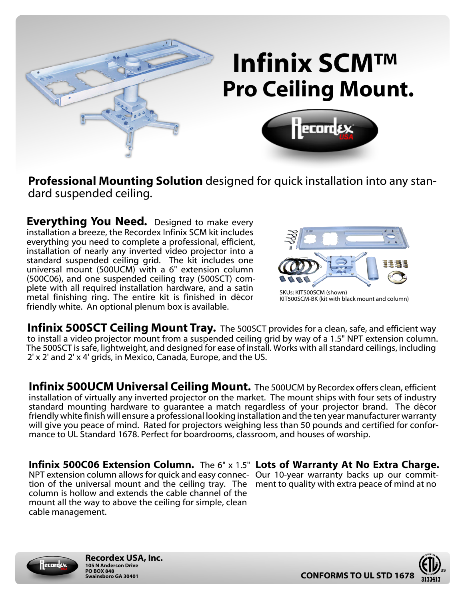

# **Infinix SCM™ Pro Ceiling Mount.**



**Professional Mounting Solution** designed for quick installation into any standard suspended ceiling.

**Everything You Need.** Designed to make every installation a breeze, the Recordex Infinix SCM kit includes everything you need to complete a professional, efficient, installation of nearly any inverted video projector into a standard suspended ceiling grid. The kit includes one universal mount (500UCM) with a 6" extension column (500C06), and one suspended ceiling tray (500SCT) complete with all required installation hardware, and a satin metal finishing ring. The entire kit is finished in décor friendly white. An optional plenum box is available.



KIT500SCM-BK (kit with black mount and column)

**Infinix 500SCT Ceiling Mount Tray.** The 500SCT provides for a clean, safe, and efficient way to install a video projector mount from a suspended ceiling grid by way of a 1.5" NPT extension column. The 500SCT is safe, lightweight, and designed for ease of install. Works with all standard ceilings, including 2' x 2' and 2' x 4' grids, in Mexico, Canada, Europe, and the US.

**Infinix 500UCM Universal Ceiling Mount.** The 500UCM by Recordex offers clean, efficient installation of virtually any inverted projector on the market. The mount ships with four sets of industry standard mounting hardware to guarantee a match regardless of your projector brand. The décor friendly white finish will ensure a professional looking installation and the ten year manufacturer warranty will give you peace of mind. Rated for projectors weighing less than 50 pounds and certified for conformance to UL Standard 1678. Perfect for boardrooms, classroom, and houses of worship.

**Infinix 500C06 Extension Column.** The 6" x 1.5" **Lots of Warranty At No Extra Charge.** NPT extension column allows for quick and easy connec-Our 10-year warranty backs up our committion of the universal mount and the ceiling tray. The ment to quality with extra peace of mind at no column is hollow and extends the cable channel of the mount all the way to above the ceiling for simple, clean cable management.





**Recordex USA, Inc. 105 N Anderson Drive PO BOX 848**